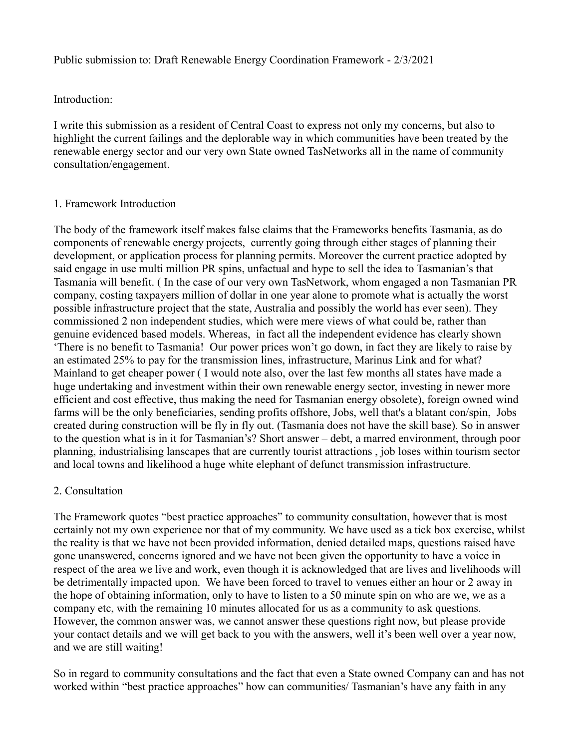Public submission to: Draft Renewable Energy Coordination Framework - 2/3/2021

### Introduction:

I write this submission as a resident of Central Coast to express not only my concerns, but also to highlight the current failings and the deplorable way in which communities have been treated by the renewable energy sector and our very own State owned TasNetworks all in the name of community consultation/engagement.

### 1. Framework Introduction

The body of the framework itself makes false claims that the Frameworks benefits Tasmania, as do components of renewable energy projects, currently going through either stages of planning their development, or application process for planning permits. Moreover the current practice adopted by said engage in use multi million PR spins, unfactual and hype to sell the idea to Tasmanian's that Tasmania will benefit. ( In the case of our very own TasNetwork, whom engaged a non Tasmanian PR company, costing taxpayers million of dollar in one year alone to promote what is actually the worst possible infrastructure project that the state, Australia and possibly the world has ever seen). They commissioned 2 non independent studies, which were mere views of what could be, rather than genuine evidenced based models. Whereas, in fact all the independent evidence has clearly shown 'There is no benefit to Tasmania! Our power prices won't go down, in fact they are likely to raise by an estimated 25% to pay for the transmission lines, infrastructure, Marinus Link and for what? Mainland to get cheaper power ( I would note also, over the last few months all states have made a huge undertaking and investment within their own renewable energy sector, investing in newer more efficient and cost effective, thus making the need for Tasmanian energy obsolete), foreign owned wind farms will be the only beneficiaries, sending profits offshore, Jobs, well that's a blatant con/spin, Jobs created during construction will be fly in fly out. (Tasmania does not have the skill base). So in answer to the question what is in it for Tasmanian's? Short answer – debt, a marred environment, through poor planning, industrialising lanscapes that are currently tourist attractions , job loses within tourism sector and local towns and likelihood a huge white elephant of defunct transmission infrastructure.

## 2. Consultation

The Framework quotes "best practice approaches" to community consultation, however that is most certainly not my own experience nor that of my community. We have used as a tick box exercise, whilst the reality is that we have not been provided information, denied detailed maps, questions raised have gone unanswered, concerns ignored and we have not been given the opportunity to have a voice in respect of the area we live and work, even though it is acknowledged that are lives and livelihoods will be detrimentally impacted upon. We have been forced to travel to venues either an hour or 2 away in the hope of obtaining information, only to have to listen to a 50 minute spin on who are we, we as a company etc, with the remaining 10 minutes allocated for us as a community to ask questions. However, the common answer was, we cannot answer these questions right now, but please provide your contact details and we will get back to you with the answers, well it's been well over a year now, and we are still waiting!

So in regard to community consultations and the fact that even a State owned Company can and has not worked within "best practice approaches" how can communities/ Tasmanian's have any faith in any